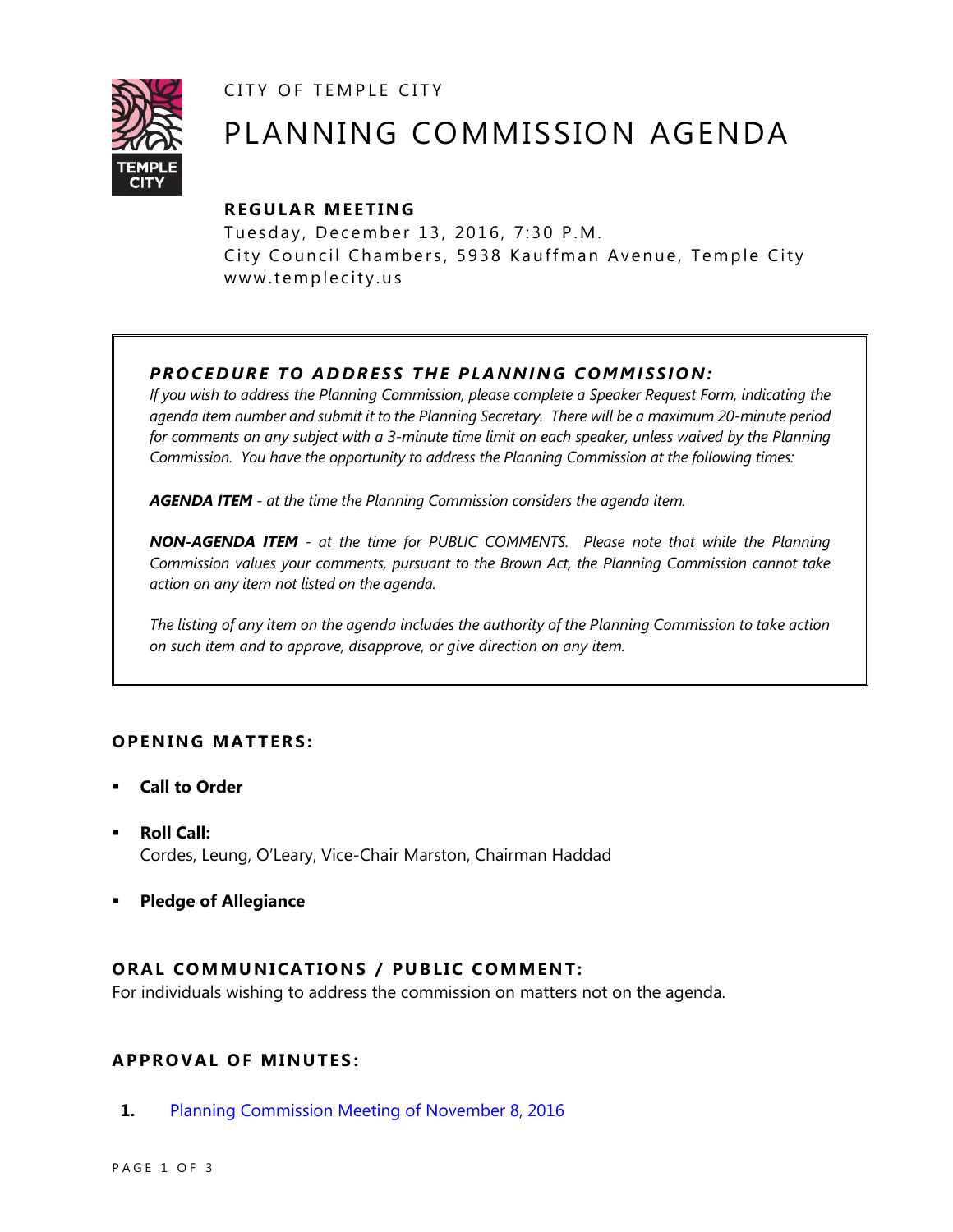CITY OF TEMPLE CITY



# PLANNING COMMISSION AGENDA

# **R EGULA R MEE TING**

Tuesday, December 13, 2016, 7:30 P.M. City Council Chambers, 5938 Kauffman Avenue, Temple City www.templecity.us

# *PRO CE DURE TO ADDRE SS THE P LA NNI NG COMM I SSION:*

*If you wish to address the Planning Commission, please complete a Speaker Request Form, indicating the agenda item number and submit it to the Planning Secretary. There will be a maximum 20-minute period*  for comments on any subject with a 3-minute time limit on each speaker, unless waived by the Planning *Commission. You have the opportunity to address the Planning Commission at the following times:*

*AGENDA ITEM - at the time the Planning Commission considers the agenda item.*

*NON-AGENDA ITEM - at the time for PUBLIC COMMENTS. Please note that while the Planning Commission values your comments, pursuant to the Brown Act, the Planning Commission cannot take action on any item not listed on the agenda.*

*The listing of any item on the agenda includes the authority of the Planning Commission to take action on such item and to approve, disapprove, or give direction on any item.*

## **OPENING MATTERS:**

- **Call to Order**
- **Roll Call:** Cordes, Leung, O'Leary, Vice-Chair Marston, Chairman Haddad
- **Pledge of Allegiance**

## **ORAL COMMUNICATIONS / PUBLIC COMMENT:**

For individuals wishing to address the commission on matters not on the agenda.

## **APPRO VAL OF MINUTES :**

**1.** [Planning Commission Meeting of November 8, 2016](https://ca-templecity.civicplus.com/DocumentCenter/View/7173)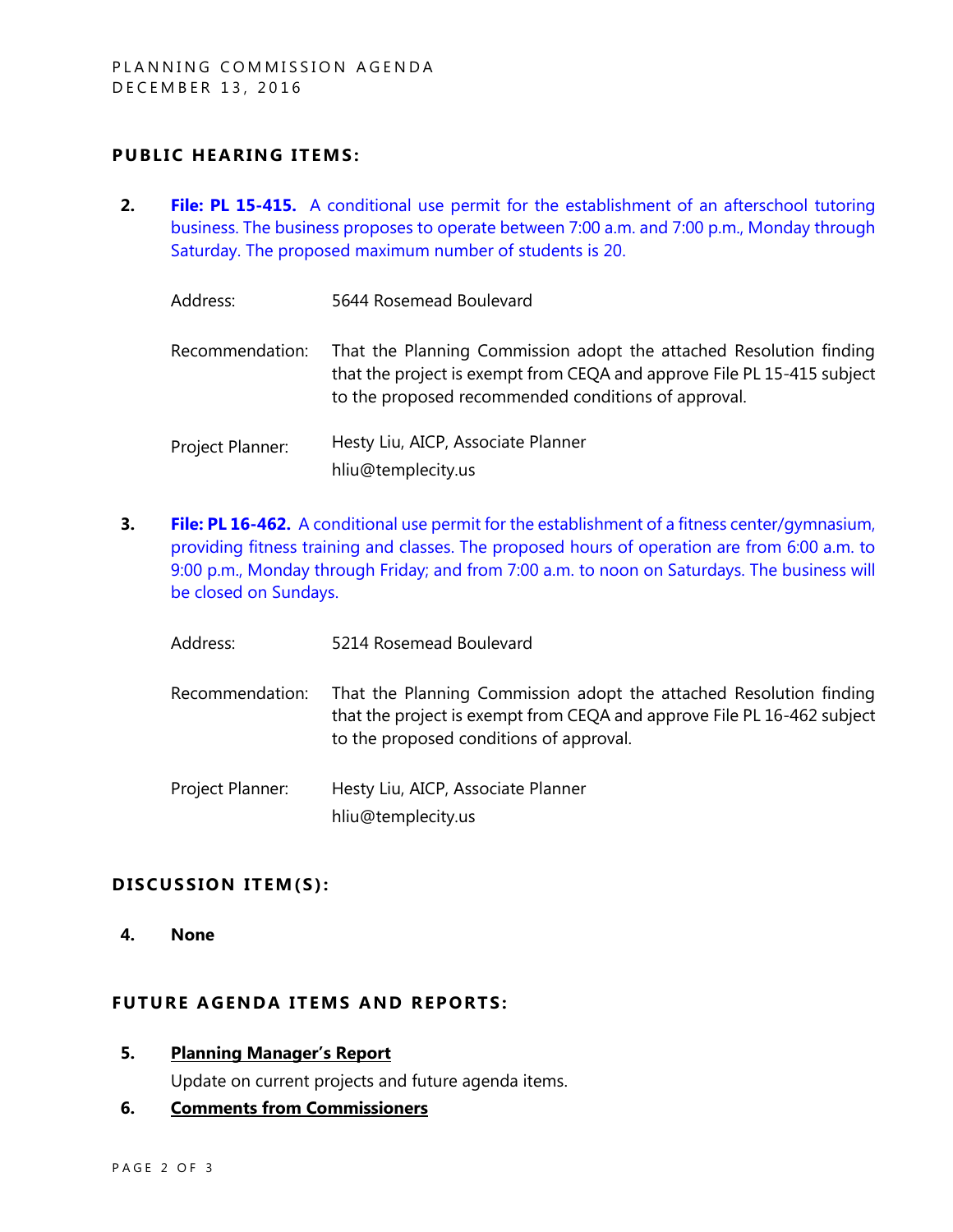## **PUBLIC HEARING ITEMS:**

**2. File: PL 15-415.** [A conditional use permit for the establishment of an afterschool tutoring](https://ca-templecity.civicplus.com/DocumentCenter/View/7175)  [business. The business proposes to operate between 7:00 a.m. and 7:00 p.m., Monday through](https://ca-templecity.civicplus.com/DocumentCenter/View/7175)  Saturday. [The proposed maximum number of students is 20.](https://ca-templecity.civicplus.com/DocumentCenter/View/7175)

| Address: | 5644 Rosemead Boulevard |
|----------|-------------------------|
|          |                         |

- Recommendation: That the Planning Commission adopt the attached Resolution finding that the project is exempt from CEQA and approve File PL 15-415 subject to the proposed recommended conditions of approval.
- Project Planner: Hesty Liu, AICP, Associate Planner hliu@templecity.us
- **3. File: PL 16-462.** A conditional [use permit for the establishment of a fitness center/gymnasium,](https://ca-templecity.civicplus.com/DocumentCenter/View/7174)  providing fitness training [and classes. The proposed hours of operation are from 6:00 a.m. to](https://ca-templecity.civicplus.com/DocumentCenter/View/7174)  [9:00 p.m., Monday through Friday; and from 7:00 a.m. to noon](https://ca-templecity.civicplus.com/DocumentCenter/View/7174) on Saturdays. The business will [be closed on Sundays.](https://ca-templecity.civicplus.com/DocumentCenter/View/7174)
	- Address: 5214 Rosemead Boulevard
	- Recommendation: That the Planning Commission adopt the attached Resolution finding that the project is exempt from CEQA and approve File PL 16-462 subject to the proposed conditions of approval.
	- Project Planner: Hesty Liu, AICP, Associate Planner hliu@templecity.us

### DISCUSSION ITEM(S):

**4. None**

#### **FUTURE AGENDA ITEMS AND REPORTS:**

**5. Planning Manager's Report**

Update on current projects and future agenda items.

### **6. Comments from Commissioners**